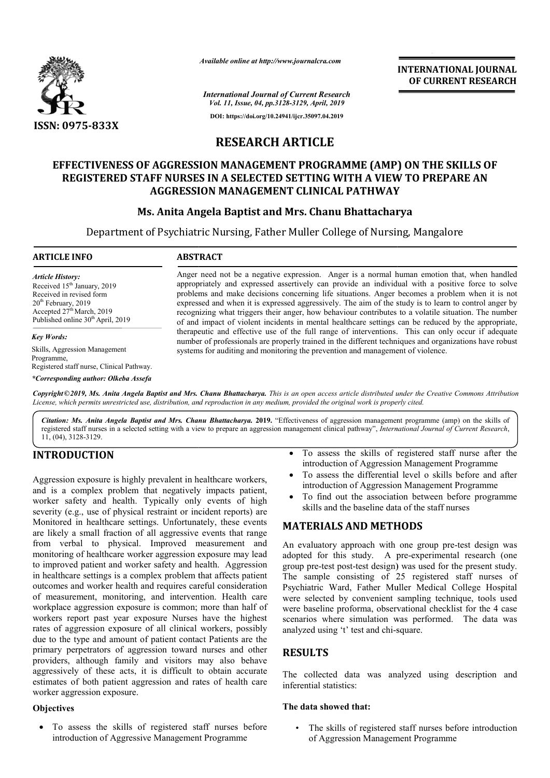

*Available online at http://www.journalcra.com*

*International Journal of Current Research Vol. 11, Issue, 04, pp.3128-3129, April, 2019* **DOI: https://doi.org/10.24941/ijcr.35097.04.2019**

**INTERNATIONAL JOURNAL OF CURRENT RESEARCH**

# **RESEARCH ARTICLE**

# **EFFECTIVENESS OF AGGRESSION MANAGEMENT PROGRAMME (AMP) ON THE SKILLS OF**  REGISTERED STAFF NURSES IN A SELECTED SETTING WITH A VIEW TO PREPARE AN **AGGRESSION MANAGEMENT CLINICAL PATHWAY**

# **Ms. Anita Angela Baptist and Mrs. Chanu Bhattacharya AGGRESSION MANAGEMENT Bhattacharya**

Department of Psychiatric Nursing, Father Muller College of Nursing, Mangalore

#### **ARTICLE INFO ABSTRACT**

*Article History:* Received 15<sup>th</sup> January, 2019 Received in revised form 20th February, 2019 Accepted  $27<sup>th</sup>$  March, 2019 Published online 30<sup>th</sup> April, 2019

*Key Words:*

Skills, Aggression Management Programme, Registered staff nurse, Clinical Pathway. *\*Corresponding author: Olkeba Assefa*

Anger need not be a negative expression. Anger is a normal human emotion that, when handled appropriately and expressed assertively can provide an individual with a positive force to solve problems and make decisions concerning life situations. Anger becomes a problem when it is not expressed and when it is expressed aggressively. The aim of the study is to learn to control anger by recognizing what triggers their anger, how behaviour contributes to a volatile situation. The number of and impact of violent incidents in mental healthcare settings can be reduced by the appropriate, therapeutic and effective use of the full range of interventions. This can only occur if adequate number of professionals are properly trained in the different techniques and organizations have robust systems for auditing and monitoring the prevention and management of violence. Anger need not be a negative expression. Anger is a normal human emotion that, when handled appropriately and expressed assertively can provide an individual with a positive force to solve problems and make decisions conce

Copyright ©2019, Ms. Anita Angela Baptist and Mrs. Chanu Bhattacharya. This is an open access article distributed under the Creative Commons Attribution License, which permits unrestricted use, distribution, and reproduction in any medium, provided the original work is properly cited.

Citation: Ms. Anita Angela Baptist and Mrs. Chanu Bhattacharya. 2019. "Effectiveness of aggression management programme (amp) on the skills of registered staff nurses in a selected setting with a view to prepare an aggression management clinical pathway", *International Journal of Current Research*, 11, (04), 3128-3129.

# **INTRODUCTION**

Aggression exposure is highly prevalent in healthcare workers, and is a complex problem that negatively impacts patient, worker safety and health. Typically only events of high severity (e.g., use of physical restraint or incident reports) are Monitored in healthcare settings. Unfortunately, these events are likely a small fraction of all aggressive events that range from verbal to physical. Improved measurement and monitoring of healthcare worker aggression exposure may lead monitoring of healthcare worker aggression exposure may lead<br>to improved patient and worker safety and health. Aggression in healthcare settings is a complex problem that affects patient outcomes and worker health and requires careful consideration of measurement, monitoring, and intervention. Health care workplace aggression exposure is common; more than half of workers report past year exposure Nurses have the highest rates of aggression exposure of all clinical workers, possibly due to the type and amount of patient contact Patients are the primary perpetrators of aggression toward nurses and other providers, although family and visitors may also behave aggressively of these acts, it is difficult to obtain accurate estimates of both patient aggression and rates of health care worker aggression exposure.

## **Objectives**

 To assess the skills of registered staff nurses before introduction of Aggressive Management Programme

- To assess the skills of registered staff nurse after the introduction of Aggression Management Programme
- To assess the differential level o skills before and after introduction of Aggression Management Programme assess the skills of registered staff nurse<br>oduction of Aggression Management Progran<br>assess the differential level o skills before<br>oduction of Aggression Management Progran<br>find out the association between before pi<br>ls an
- To find out the association between before programme skills and the baseline data of the staff nurses

# **MATERIALS AND METHODS METHODS**

An evaluatory approach with one group pre-test design was adopted for this study. A pre-experimental research (one group pre-test post-test design) was used for the present study. The sample consisting of 25 registered staff nurses of Psychiatric Ward, Father Muller Medical College Hospita were selected by convenient sampling technique, tools used were baseline proforma, observational checklist for the 4 case scenarios where simulation was performed. The data was analyzed using 't' test and chi-square. test design) was used for the present study.<br>
isting of 25 registered staff nurses of<br>
Father Muller Medical College Hospital INTERNATIONAL JOURNAL<br> *nt Research*<br> **CDEAREMT RESEARCH<br>
April, 2019**<br> **CDEAREMT RESEARCH**<br> **CDEAREMT RESEARCH**<br> **CONGAMME (AMP) ON THE SKILLS OF<br>
<b>CONGAMME (AMP) ON THE SKILLS OF**<br> **CONGAMME (AMP) ON THE SKILLS OF**<br> **CO** 

# **RESULTS**

The collected data was analyzed using description and inferential statistics:

## **The data showed that:**

• The skills of registered staff nurses before introduction of Aggression Management Programme